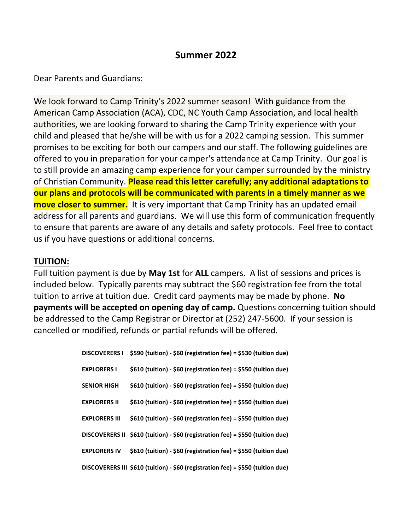### **Summer 2022**

Dear Parents and Guardians:

We look forward to Camp Trinity's 2022 summer season! With guidance from the American Camp Association (ACA), CDC, NC Youth Camp Association, and local health authorities, we are looking forward to sharing the Camp Trinity experience with your child and pleased that he/she will be with us for a 2022 camping session. This summer promises to be exciting for both our campers and our staff. The following guidelines are offered to you in preparation for your camper's attendance at Camp Trinity. Our goal is to still provide an amazing camp experience for your camper surrounded by the ministry of Christian Community. **Please read this letter carefully; any additional adaptations to our plans and protocols will be communicated with parents in a timely manner as we move closer to summer.** It is very important that Camp Trinity has an updated email address for all parents and guardians. We will use this form of communication frequently to ensure that parents are aware of any details and safety protocols. Feel free to contact us if you have questions or additional concerns.

#### **TUITION:**

Full tuition payment is due by **May 1st** for **ALL** campers. A list of sessions and prices is included below. Typically parents may subtract the \$60 registration fee from the total tuition to arrive at tuition due. Credit card payments may be made by phone. **No payments will be accepted on opening day of camp.** Questions concerning tuition should be addressed to the Camp Registrar or Director at (252) 247-5600. If your session is cancelled or modified, refunds or partial refunds will be offered.

| <b>DISCOVERERS I</b> | \$590 (tuition) - \$60 (registration fee) = \$530 (tuition due)                 |
|----------------------|---------------------------------------------------------------------------------|
| <b>EXPLORERS I</b>   | \$610 (tuition) - \$60 (registration fee) = \$550 (tuition due)                 |
| <b>SENIOR HIGH</b>   | \$610 (tuition) - \$60 (registration fee) = \$550 (tuition due)                 |
| <b>EXPLORERS II</b>  | \$610 (tuition) - \$60 (registration fee) = \$550 (tuition due)                 |
| <b>EXPLORERS III</b> | \$610 (tuition) - \$60 (registration fee) = \$550 (tuition due)                 |
|                      | DISCOVERERS II \$610 (tuition) - \$60 (registration fee) = \$550 (tuition due)  |
| <b>EXPLORERS IV</b>  | \$610 (tuition) - \$60 (registration fee) = \$550 (tuition due)                 |
|                      | DISCOVERERS III \$610 (tuition) - \$60 (registration fee) = \$550 (tuition due) |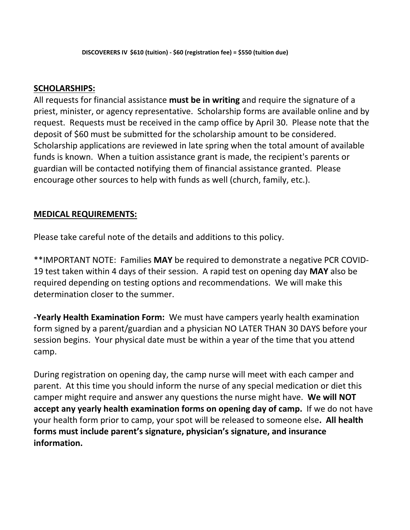#### **SCHOLARSHIPS:**

All requests for financial assistance **must be in writing** and require the signature of a priest, minister, or agency representative. Scholarship forms are available online and by request. Requests must be received in the camp office by April 30. Please note that the deposit of \$60 must be submitted for the scholarship amount to be considered. Scholarship applications are reviewed in late spring when the total amount of available funds is known. When a tuition assistance grant is made, the recipient's parents or guardian will be contacted notifying them of financial assistance granted. Please encourage other sources to help with funds as well (church, family, etc.).

### **MEDICAL REQUIREMENTS:**

Please take careful note of the details and additions to this policy.

\*\*IMPORTANT NOTE: Families **MAY** be required to demonstrate a negative PCR COVID-19 test taken within 4 days of their session. A rapid test on opening day **MAY** also be required depending on testing options and recommendations. We will make this determination closer to the summer.

**-Yearly Health Examination Form:** We must have campers yearly health examination form signed by a parent/guardian and a physician NO LATER THAN 30 DAYS before your session begins. Your physical date must be within a year of the time that you attend camp.

During registration on opening day, the camp nurse will meet with each camper and parent. At this time you should inform the nurse of any special medication or diet this camper might require and answer any questions the nurse might have. **We will NOT accept any yearly health examination forms on opening day of camp.** If we do not have your health form prior to camp, your spot will be released to someone else**. All health forms must include parent's signature, physician's signature, and insurance information.**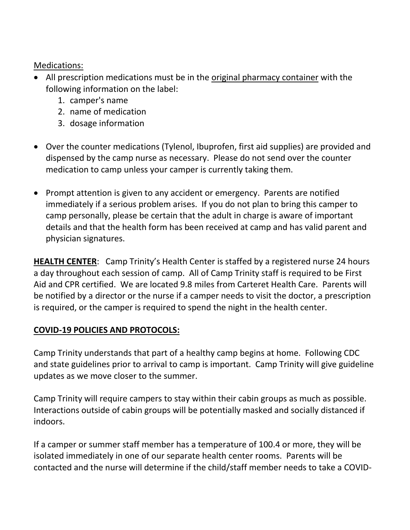Medications:

- All prescription medications must be in the original pharmacy container with the following information on the label:
	- 1. camper's name
	- 2. name of medication
	- 3. dosage information
- Over the counter medications (Tylenol, Ibuprofen, first aid supplies) are provided and dispensed by the camp nurse as necessary. Please do not send over the counter medication to camp unless your camper is currently taking them.
- Prompt attention is given to any accident or emergency. Parents are notified immediately if a serious problem arises. If you do not plan to bring this camper to camp personally, please be certain that the adult in charge is aware of important details and that the health form has been received at camp and has valid parent and physician signatures.

**HEALTH CENTER**: Camp Trinity's Health Center is staffed by a registered nurse 24 hours a day throughout each session of camp. All of Camp Trinity staff is required to be First Aid and CPR certified. We are located 9.8 miles from Carteret Health Care. Parents will be notified by a director or the nurse if a camper needs to visit the doctor, a prescription is required, or the camper is required to spend the night in the health center.

# **COVID-19 POLICIES AND PROTOCOLS:**

Camp Trinity understands that part of a healthy camp begins at home. Following CDC and state guidelines prior to arrival to camp is important. Camp Trinity will give guideline updates as we move closer to the summer.

Camp Trinity will require campers to stay within their cabin groups as much as possible. Interactions outside of cabin groups will be potentially masked and socially distanced if indoors.

If a camper or summer staff member has a temperature of 100.4 or more, they will be isolated immediately in one of our separate health center rooms. Parents will be contacted and the nurse will determine if the child/staff member needs to take a COVID-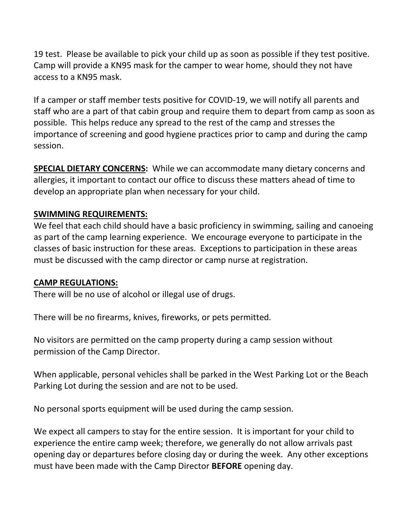19 test. Please be available to pick your child up as soon as possible if they test positive. Camp will provide a KN95 mask for the camper to wear home, should they not have access to a KN95 mask.

If a camper or staff member tests positive for COVID-19, we will notify all parents and staff who are a part of that cabin group and require them to depart from camp as soon as possible. This helps reduce any spread to the rest of the camp and stresses the importance of screening and good hygiene practices prior to camp and during the camp session.

**SPECIAL DIETARY CONCERNS:** While we can accommodate many dietary concerns and allergies, it important to contact our office to discuss these matters ahead of time to develop an appropriate plan when necessary for your child.

### **SWIMMING REQUIREMENTS:**

We feel that each child should have a basic proficiency in swimming, sailing and canoeing as part of the camp learning experience. We encourage everyone to participate in the classes of basic instruction for these areas. Exceptions to participation in these areas must be discussed with the camp director or camp nurse at registration.

### **CAMP REGULATIONS:**

There will be no use of alcohol or illegal use of drugs.

There will be no firearms, knives, fireworks, or pets permitted.

No visitors are permitted on the camp property during a camp session without permission of the Camp Director.

When applicable, personal vehicles shall be parked in the West Parking Lot or the Beach Parking Lot during the session and are not to be used.

No personal sports equipment will be used during the camp session.

We expect all campers to stay for the entire session. It is important for your child to experience the entire camp week; therefore, we generally do not allow arrivals past opening day or departures before closing day or during the week. Any other exceptions must have been made with the Camp Director **BEFORE** opening day.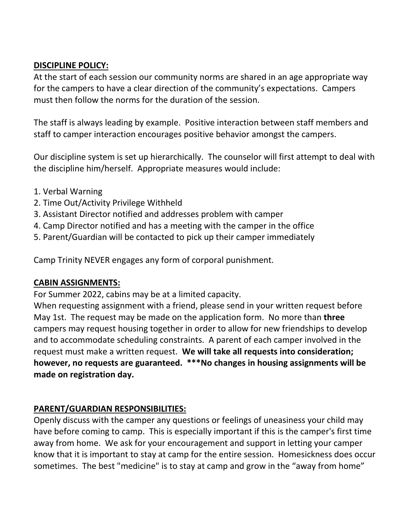#### **DISCIPLINE POLICY:**

At the start of each session our community norms are shared in an age appropriate way for the campers to have a clear direction of the community's expectations. Campers must then follow the norms for the duration of the session.

The staff is always leading by example. Positive interaction between staff members and staff to camper interaction encourages positive behavior amongst the campers.

Our discipline system is set up hierarchically. The counselor will first attempt to deal with the discipline him/herself. Appropriate measures would include:

- 1. Verbal Warning
- 2. Time Out/Activity Privilege Withheld
- 3. Assistant Director notified and addresses problem with camper
- 4. Camp Director notified and has a meeting with the camper in the office
- 5. Parent/Guardian will be contacted to pick up their camper immediately

Camp Trinity NEVER engages any form of corporal punishment.

#### **CABIN ASSIGNMENTS:**

For Summer 2022, cabins may be at a limited capacity.

When requesting assignment with a friend, please send in your written request before May 1st. The request may be made on the application form. No more than **three** campers may request housing together in order to allow for new friendships to develop and to accommodate scheduling constraints. A parent of each camper involved in the request must make a written request. **We will take all requests into consideration; however, no requests are guaranteed. \*\*\*No changes in housing assignments will be made on registration day.**

#### **PARENT/GUARDIAN RESPONSIBILITIES:**

Openly discuss with the camper any questions or feelings of uneasiness your child may have before coming to camp. This is especially important if this is the camper's first time away from home. We ask for your encouragement and support in letting your camper know that it is important to stay at camp for the entire session. Homesickness does occur sometimes. The best "medicine" is to stay at camp and grow in the "away from home"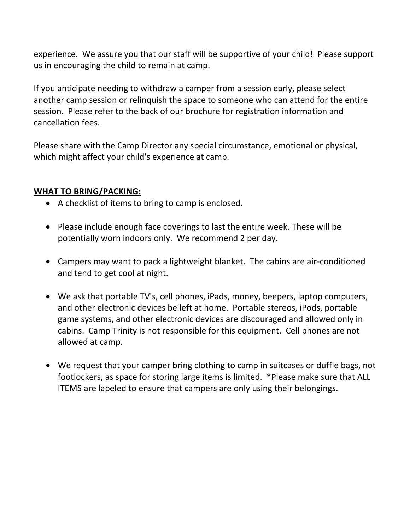experience. We assure you that our staff will be supportive of your child! Please support us in encouraging the child to remain at camp.

If you anticipate needing to withdraw a camper from a session early, please select another camp session or relinquish the space to someone who can attend for the entire session. Please refer to the back of our brochure for registration information and cancellation fees.

Please share with the Camp Director any special circumstance, emotional or physical, which might affect your child's experience at camp.

### **WHAT TO BRING/PACKING:**

- A checklist of items to bring to camp is enclosed.
- Please include enough face coverings to last the entire week. These will be potentially worn indoors only. We recommend 2 per day.
- Campers may want to pack a lightweight blanket. The cabins are air-conditioned and tend to get cool at night.
- We ask that portable TV's, cell phones, iPads, money, beepers, laptop computers, and other electronic devices be left at home. Portable stereos, iPods, portable game systems, and other electronic devices are discouraged and allowed only in cabins. Camp Trinity is not responsible for this equipment. Cell phones are not allowed at camp.
- We request that your camper bring clothing to camp in suitcases or duffle bags, not footlockers, as space for storing large items is limited. \*Please make sure that ALL ITEMS are labeled to ensure that campers are only using their belongings.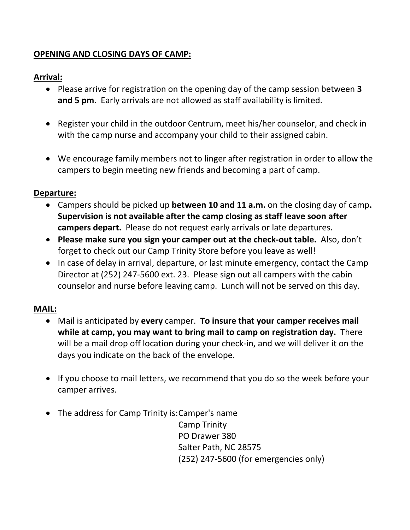### **OPENING AND CLOSING DAYS OF CAMP:**

### **Arrival:**

- Please arrive for registration on the opening day of the camp session between **3 and 5 pm**. Early arrivals are not allowed as staff availability is limited.
- Register your child in the outdoor Centrum, meet his/her counselor, and check in with the camp nurse and accompany your child to their assigned cabin.
- We encourage family members not to linger after registration in order to allow the campers to begin meeting new friends and becoming a part of camp.

### **Departure:**

- Campers should be picked up **between 10 and 11 a.m.** on the closing day of camp**. Supervision is not available after the camp closing as staff leave soon after campers depart.** Please do not request early arrivals or late departures.
- **Please make sure you sign your camper out at the check-out table.** Also, don't forget to check out our Camp Trinity Store before you leave as well!
- In case of delay in arrival, departure, or last minute emergency, contact the Camp Director at (252) 247-5600 ext. 23. Please sign out all campers with the cabin counselor and nurse before leaving camp. Lunch will not be served on this day.

# **MAIL:**

- Mail is anticipated by **every** camper. **To insure that your camper receives mail while at camp, you may want to bring mail to camp on registration day.** There will be a mail drop off location during your check-in, and we will deliver it on the days you indicate on the back of the envelope.
- If you choose to mail letters, we recommend that you do so the week before your camper arrives.
- The address for Camp Trinity is: Camper's name

Camp Trinity PO Drawer 380 Salter Path, NC 28575 (252) 247-5600 (for emergencies only)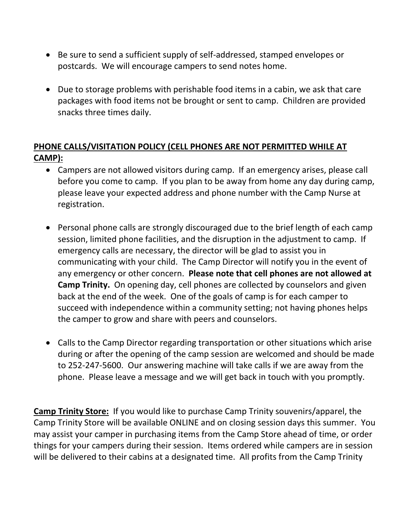- Be sure to send a sufficient supply of self-addressed, stamped envelopes or postcards. We will encourage campers to send notes home.
- Due to storage problems with perishable food items in a cabin, we ask that care packages with food items not be brought or sent to camp. Children are provided snacks three times daily.

## **PHONE CALLS/VISITATION POLICY (CELL PHONES ARE NOT PERMITTED WHILE AT CAMP):**

- Campers are not allowed visitors during camp. If an emergency arises, please call before you come to camp. If you plan to be away from home any day during camp, please leave your expected address and phone number with the Camp Nurse at registration.
- Personal phone calls are strongly discouraged due to the brief length of each camp session, limited phone facilities, and the disruption in the adjustment to camp. If emergency calls are necessary, the director will be glad to assist you in communicating with your child. The Camp Director will notify you in the event of any emergency or other concern. **Please note that cell phones are not allowed at Camp Trinity.** On opening day, cell phones are collected by counselors and given back at the end of the week. One of the goals of camp is for each camper to succeed with independence within a community setting; not having phones helps the camper to grow and share with peers and counselors.
- Calls to the Camp Director regarding transportation or other situations which arise during or after the opening of the camp session are welcomed and should be made to 252-247-5600. Our answering machine will take calls if we are away from the phone. Please leave a message and we will get back in touch with you promptly.

**Camp Trinity Store:** If you would like to purchase Camp Trinity souvenirs/apparel, the Camp Trinity Store will be available ONLINE and on closing session days this summer. You may assist your camper in purchasing items from the Camp Store ahead of time, or order things for your campers during their session. Items ordered while campers are in session will be delivered to their cabins at a designated time. All profits from the Camp Trinity